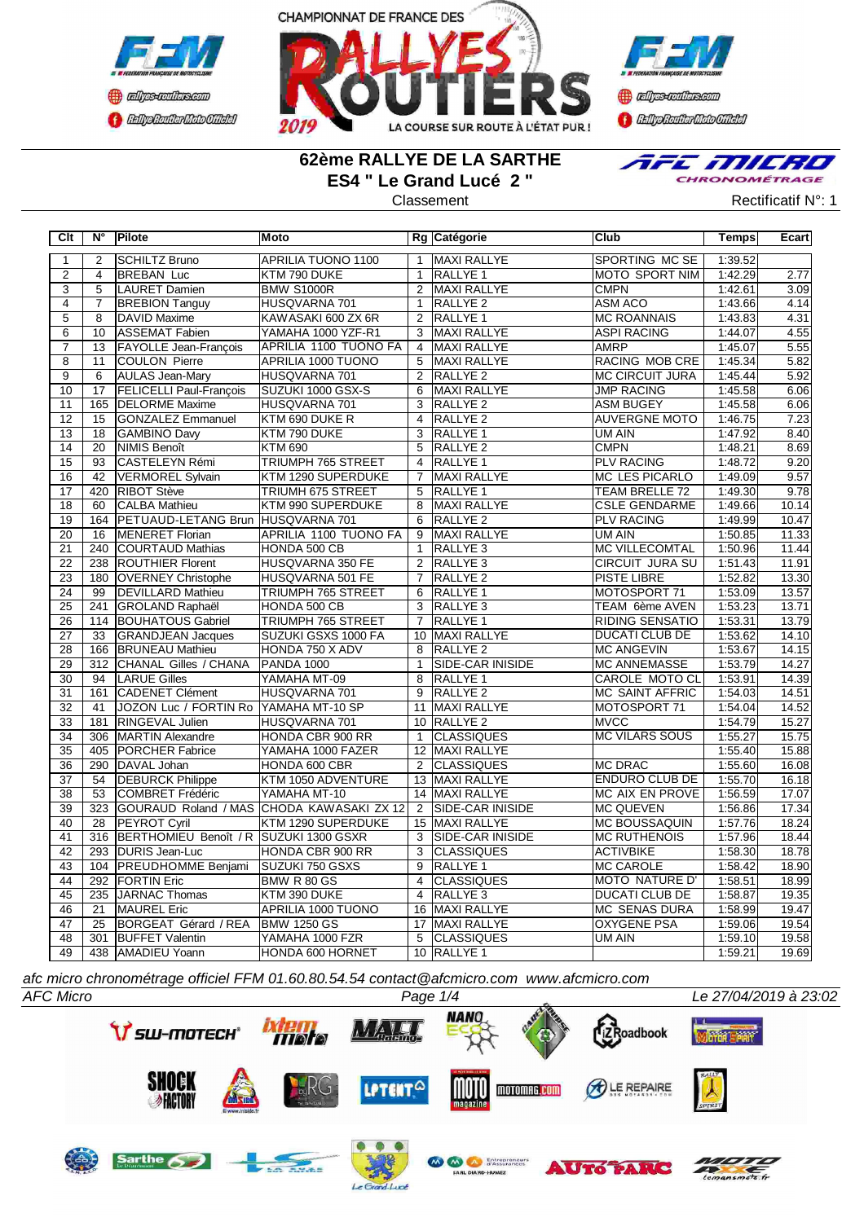



**Confederation Complementation** 

## **62ème RALLYE DE LA SARTHE ES4 " Le Grand Lucé 2 "**



Classement **Classement** Rectificatif N°: 1

| Clt             | $N^{\circ}$      | Pilote                                 | Moto                         |                 | Rg Catégorie            | <b>Club</b>            | <b>Temps</b> | Ecart |
|-----------------|------------------|----------------------------------------|------------------------------|-----------------|-------------------------|------------------------|--------------|-------|
| $\overline{1}$  | 2                | <b>SCHILTZ Bruno</b>                   | <b>APRILIA TUONO 1100</b>    | $\mathbf{1}$    | <b>MAXI RALLYE</b>      | <b>SPORTING MC SE</b>  | 1:39.52      |       |
| $\overline{2}$  | $\overline{4}$   | <b>BREBAN Luc</b>                      | KTM 790 DUKE                 | $\mathbf{1}$    | RALLYE <sub>1</sub>     | <b>MOTO SPORT NIM</b>  | 1:42.29      | 2.77  |
| $\overline{3}$  | 5                | LAURET Damien                          | <b>BMW S1000R</b>            | $\overline{2}$  | <b>MAXI RALLYE</b>      | <b>CMPN</b>            | 1:42.61      | 3.09  |
| $\overline{4}$  | $\overline{7}$   | <b>BREBION Tanguy</b>                  | HUSQVARNA 701                | $\overline{1}$  | <b>RALLYE 2</b>         | <b>ASM ACO</b>         | 1:43.66      | 4.14  |
| $\overline{5}$  | $\overline{8}$   | <b>DAVID Maxime</b>                    | KAWASAKI 600 ZX 6R           | $\overline{2}$  | <b>RALLYE 1</b>         | <b>MC ROANNAIS</b>     | 1:43.83      | 4.31  |
| $\overline{6}$  | $\overline{10}$  | <b>ASSEMAT Fabien</b>                  | YAMAHA 1000 YZF-R1           | $\overline{3}$  | MAXI RALLYE             | <b>ASPI RACING</b>     | 1:44.07      | 4.55  |
| $\overline{7}$  | 13               | <b>FAYOLLE Jean-François</b>           | APRILIA 1100 TUONO FA        | $\overline{4}$  | MAXI RALLYE             | <b>AMRP</b>            | 1:45.07      | 5.55  |
| $\overline{8}$  | 11               | COULON Pierre                          | APRILIA 1000 TUONO           | $\overline{5}$  | <b>MAXI RALLYE</b>      | <b>RACING MOB CRE</b>  | 1:45.34      | 5.82  |
| $\overline{9}$  | 6                | <b>AULAS Jean-Mary</b>                 | HUSQVARNA 701                | $\overline{2}$  | RALLYE <sub>2</sub>     | <b>MC CIRCUIT JURA</b> | 1:45.44      | 5.92  |
| 10              | $\overline{17}$  | <b>FELICELLI Paul-François</b>         | SUZUKI 1000 GSX-S            | 6               | <b>MAXI RALLYE</b>      | <b>JMP RACING</b>      | 1:45.58      | 6.06  |
| 11              | 165              | <b>DELORME</b> Maxime                  | HUSQVARNA 701                | 3               | <b>RALLYE 2</b>         | <b>ASM BUGEY</b>       | 1:45.58      | 6.06  |
| 12              | 15               | <b>GONZALEZ Emmanuel</b>               | KTM 690 DUKE R               | $\overline{4}$  | RALLYE <sub>2</sub>     | <b>AUVERGNE MOTO</b>   | 1:46.75      | 7.23  |
| 13              | 18               | <b>GAMBINO Davy</b>                    | KTM 790 DUKE                 | 3               | <b>RALLYE 1</b>         | <b>UM AIN</b>          | 1:47.92      | 8.40  |
| 14              | 20               | NIMIS Benoît                           | <b>KTM 690</b>               | $\overline{5}$  | <b>RALLYE 2</b>         | <b>CMPN</b>            | 1:48.21      | 8.69  |
| $\overline{15}$ | $\overline{93}$  | <b>CASTELEYN Rémi</b>                  | <b>TRIUMPH 765 STREET</b>    | $\overline{4}$  | <b>RALLYE 1</b>         | <b>PLV RACING</b>      | 1:48.72      | 9.20  |
| $\overline{16}$ | $\overline{42}$  | VERMOREL Sylvain                       | KTM 1290 SUPERDUKE           | $\overline{7}$  | <b>MAXI RALLYE</b>      | <b>MC LES PICARLO</b>  | 1:49.09      | 9.57  |
| 17              | 420              | <b>RIBOT Stève</b>                     | TRIUMH 675 STREET            | 5               | RALLYE 1                | TEAM BRELLE 72         | 1:49.30      | 9.78  |
| $\overline{18}$ | 60               | <b>CALBA Mathieu</b>                   | KTM 990 SUPERDUKE            | 8               | MAXI RALLYE             | <b>CSLE GENDARME</b>   | 1:49.66      | 10.14 |
| 19              | 164              | PETUAUD-LETANG Brun HUSQVARNA 701      |                              | 6               | <b>RALLYE 2</b>         | <b>PLV RACING</b>      | 1:49.99      | 10.47 |
| $\overline{20}$ | 16               | MENERET Florian                        | <b>APRILIA 1100 TUONO FA</b> | 9               | <b>MAXI RALLYE</b>      | UM AIN                 | 1:50.85      | 11.33 |
| 21              | 240              | COURTAUD Mathias                       | HONDA 500 CB                 | $\mathbf{1}$    | RALLYE <sub>3</sub>     | <b>MC VILLECOMTAL</b>  | 1:50.96      | 11.44 |
| $\overline{22}$ | 238              | <b>ROUTHIER Florent</b>                | HUSQVARNA 350 FE             | $\overline{2}$  | RALLYE <sub>3</sub>     | <b>CIRCUIT JURA SU</b> | 1:51.43      | 11.91 |
| 23              | 180              | <b>OVERNEY Christophe</b>              | HUSQVARNA 501 FE             | $\overline{7}$  | <b>RALLYE 2</b>         | <b>PISTE LIBRE</b>     | 1:52.82      | 13.30 |
| $\overline{24}$ | 99               | <b>DEVILLARD Mathieu</b>               | <b>TRIUMPH 765 STREET</b>    | 6               | <b>RALLYE 1</b>         | MOTOSPORT 71           | 1:53.09      | 13.57 |
| $\overline{25}$ | 241              | <b>GROLAND Raphaël</b>                 | HONDA 500 CB                 | $\overline{3}$  | RALLYE <sub>3</sub>     | TEAM 6ème AVEN         | 1:53.23      | 13.71 |
| 26              | 114              | <b>BOUHATOUS Gabriel</b>               | <b>TRIUMPH 765 STREET</b>    | $\overline{7}$  | RALLYE <sub>1</sub>     | <b>RIDING SENSATIO</b> | 1:53.31      | 13.79 |
| 27              | 33               | <b>GRANDJEAN Jacques</b>               | SUZUKI GSXS 1000 FA          |                 | 10 MAXI RALLYE          | <b>DUCATI CLUB DE</b>  | 1:53.62      | 14.10 |
| 28              | 166              | <b>BRUNEAU Mathieu</b>                 | HONDA 750 X ADV              | 8               | <b>RALLYE 2</b>         | <b>MC ANGEVIN</b>      | 1:53.67      | 14.15 |
| 29              | $\overline{312}$ | CHANAL Gilles / CHANA                  | <b>PANDA 1000</b>            | $\mathbf{1}$    | SIDE-CAR INISIDE        | <b>MC ANNEMASSE</b>    | 1:53.79      | 14.27 |
| 30              | 94               | <b>LARUE Gilles</b>                    | YAMAHA MT-09                 | 8               | <b>RALLYE 1</b>         | CAROLE MOTO CL         | 1:53.91      | 14.39 |
| 31              | 161              | CADENET Clément                        | HUSQVARNA 701                | $\overline{9}$  | RALLYE <sub>2</sub>     | <b>MC SAINT AFFRIC</b> | 1:54.03      | 14.51 |
| 32              | 41               | JOZON Luc / FORTIN Ro YAMAHA MT-10 SP  |                              | 11              | MAXI RALLYE             | MOTOSPORT 71           | 1:54.04      | 14.52 |
| 33              | 181              | <b>RINGEVAL Julien</b>                 | HUSQVARNA 701                |                 | 10 RALLYE 2             | <b>MVCC</b>            | 1:54.79      | 15.27 |
| $\overline{34}$ | 306              | <b>MARTIN Alexandre</b>                | HONDA CBR 900 RR             | $\mathbf{1}$    | <b>CLASSIQUES</b>       | <b>MC VILARS SOUS</b>  | 1:55.27      | 15.75 |
| $\overline{35}$ | 405              | <b>PORCHER Fabrice</b>                 | YAMAHA 1000 FAZER            | 12              | MAXI RALLYE             |                        | 1:55.40      | 15.88 |
| $\overline{36}$ | 290              | DAVAL Johan                            | HONDA 600 CBR                | $\overline{2}$  | <b>CLASSIQUES</b>       | <b>MC DRAC</b>         | 1:55.60      | 16.08 |
| $\overline{37}$ | 54               | <b>DEBURCK Philippe</b>                | KTM 1050 ADVENTURE           |                 | 13 MAXI RALLYE          | <b>ENDURO CLUB DE</b>  | 1:55.70      | 16.18 |
| $\overline{38}$ | $\overline{53}$  | <b>COMBRET Frédéric</b>                | YAMAHA MT-10                 | $\overline{14}$ | <b>MAXI RALLYE</b>      | <b>MC AIX EN PROVE</b> | 1:56.59      | 17.07 |
| 39              | 323              | GOURAUD Roland / MAS                   | CHODA KAWASAKI ZX 12         | $\overline{2}$  | <b>SIDE-CAR INISIDE</b> | <b>MC QUEVEN</b>       | 1:56.86      | 17.34 |
| 40              | $\overline{28}$  | <b>PEYROT Cyril</b>                    | KTM 1290 SUPERDUKE           | 15              | <b>MAXI RALLYE</b>      | <b>MC BOUSSAQUIN</b>   | 1:57.76      | 18.24 |
| 41              | 316              | BERTHOMIEU Benoît / R SUZUKI 1300 GSXR |                              | 3               | <b>SIDE-CAR INISIDE</b> | <b>MC RUTHENOIS</b>    | 1:57.96      | 18.44 |
| 42              | 293              | DURIS Jean-Luc                         | HONDA CBR 900 RR             | 3               | <b>CLASSIQUES</b>       | <b>ACTIVBIKE</b>       | 1:58.30      | 18.78 |
| 43              | 104              | <b>PREUDHOMME Benjami</b>              | SUZUKI 750 GSXS              | $\overline{9}$  | RALLYE <sub>1</sub>     | <b>MC CAROLE</b>       | 1:58.42      | 18.90 |
| $\overline{44}$ | 292              | <b>FORTIN Eric</b>                     | BMW R 80 GS                  | $\overline{4}$  | <b>CLASSIQUES</b>       | <b>MOTO NATURE D'</b>  | 1:58.51      | 18.99 |
| 45              | 235              | JARNAC Thomas                          | KTM 390 DUKE                 | $\overline{4}$  | RALLYE <sub>3</sub>     | <b>DUCATI CLUB DE</b>  | 1:58.87      | 19.35 |
| 46              | 21               | MAUREL Eric                            | APRILIA 1000 TUONO           | 16              | MAXI RALLYE             | MC SENAS DURA          | 1:58.99      | 19.47 |
| 47              | 25               | BORGEAT Gérard / REA                   | <b>BMW 1250 GS</b>           | 17              | MAXI RALLYE             | <b>OXYGENE PSA</b>     | 1:59.06      | 19.54 |
| 48              | $\overline{301}$ | <b>BUFFET Valentin</b>                 | YAMAHA 1000 FZR              | $\overline{5}$  | <b>CLASSIQUES</b>       | <b>UM AIN</b>          | 1:59.10      | 19.58 |
| 49              |                  | 438 AMADIEU Yoann                      | HONDA 600 HORNET             |                 | 10 RALLYE 1             |                        | 1:59.21      | 19.69 |

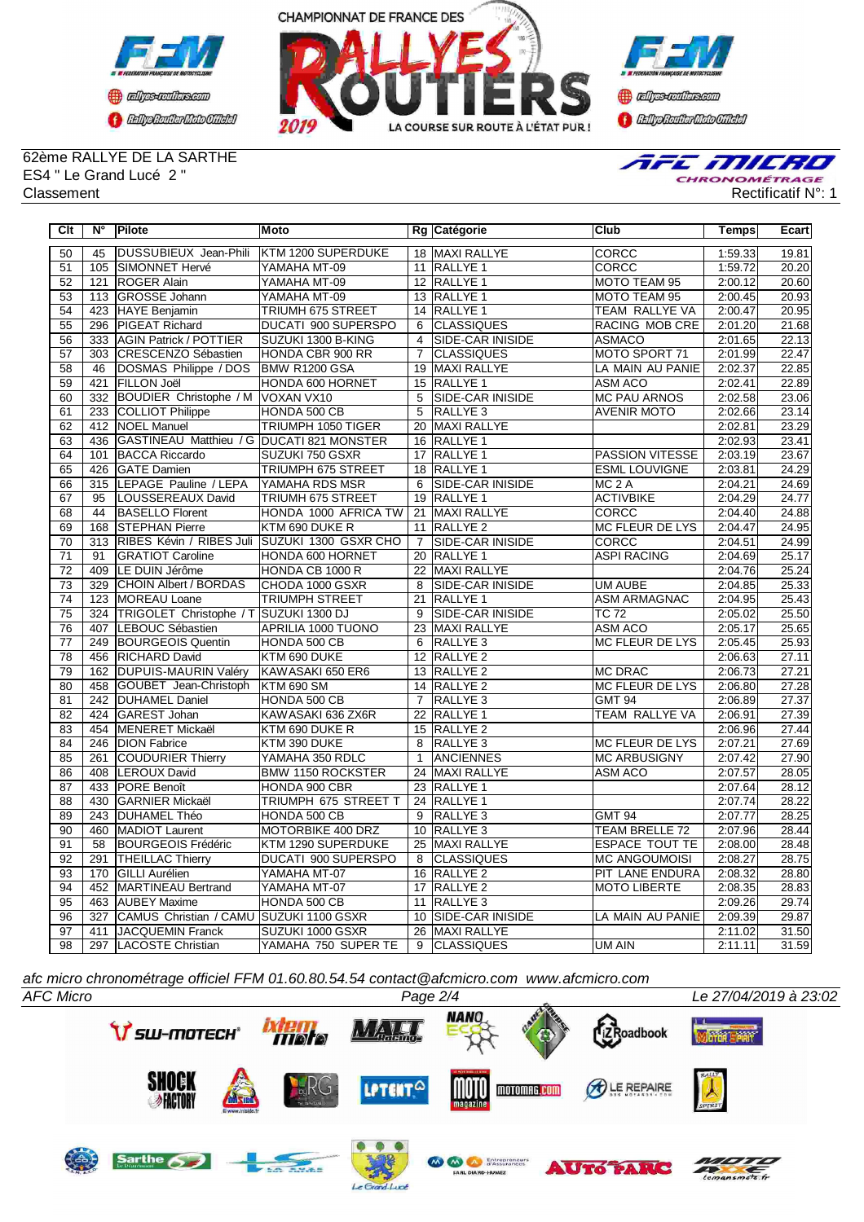



**Confederation CENTRAL MEDICATE** 

62ème RALLYE DE LA SARTHE ES4 " Le Grand Lucé 2 "



| $\overline{C}$ It | $N^{\circ}$      | Pilote                                    | <b>Moto</b>              |                 | Rg Catégorie            | <b>Club</b>            | <b>Temps</b> | Ecart |
|-------------------|------------------|-------------------------------------------|--------------------------|-----------------|-------------------------|------------------------|--------------|-------|
| 50                | 45               | <b>DUSSUBIEUX Jean-Phili</b>              | KTM 1200 SUPERDUKE       |                 | 18 MAXI RALLYE          | CORCC                  | 1:59.33      | 19.81 |
| 51                | 105              | <b>ISIMONNET Hervé</b>                    | YAMAHA MT-09             |                 | 11 RALLYE 1             | <b>CORCC</b>           | 1:59.72      | 20.20 |
| $\overline{52}$   | $\overline{121}$ | <b>ROGER Alain</b>                        | YAMAHA MT-09             |                 | 12 RALLYE 1             | MOTO TEAM 95           | 2:00.12      | 20.60 |
| 53                |                  | 113 GROSSE Johann                         | YAMAHA MT-09             |                 | 13 RALLYE 1             | MOTO TEAM 95           | 2:00.45      | 20.93 |
| 54                |                  | 423 HAYE Benjamin                         | <b>TRIUMH 675 STREET</b> |                 | 14 RALLYE 1             | <b>TEAM RALLYE VA</b>  | 2:00.47      | 20.95 |
| 55                | 296              | <b>PIGEAT Richard</b>                     | DUCATI 900 SUPERSPO      | 6               | <b>CLASSIQUES</b>       | <b>RACING MOB CRE</b>  | 2:01.20      | 21.68 |
| 56                | 333              | <b>AGIN Patrick / POTTIER</b>             | SUZUKI 1300 B-KING       | $\overline{4}$  | <b>SIDE-CAR INISIDE</b> | <b>ASMACO</b>          | 2:01.65      | 22.13 |
| 57                | 303              | CRESCENZO Sébastien                       | HONDA CBR 900 RR         | $\overline{7}$  | <b>CLASSIQUES</b>       | MOTO SPORT 71          | 2:01.99      | 22.47 |
| $\overline{58}$   | 46               | DOSMAS Philippe / DOS                     | BMW R1200 GSA            | 19              | <b>MAXI RALLYE</b>      | LA MAIN AU PANIE       | 2:02.37      | 22.85 |
| $\overline{59}$   | 421              | <b>FILLON Joël</b>                        | HONDA 600 HORNET         | 15              | <b>RALLYE 1</b>         | <b>ASM ACO</b>         | 2:02.41      | 22.89 |
| $\overline{60}$   |                  | 332 BOUDIER Christophe / M VOXAN VX10     |                          | $\overline{5}$  | <b>SIDE-CAR INISIDE</b> | <b>MC PAU ARNOS</b>    | 2:02.58      | 23.06 |
| 61                | 233              | COLLIOT Philippe                          | HONDA 500 CB             | $\overline{5}$  | <b>RALLYE 3</b>         | <b>AVENIR MOTO</b>     | 2:02.66      | 23.14 |
| 62                | $\overline{412}$ | <b>INOEL Manuel</b>                       | TRIUMPH 1050 TIGER       | $\overline{20}$ | <b>MAXI RALLYE</b>      |                        | 2:02.81      | 23.29 |
| 63                | 436              | GASTINEAU Matthieu / G DUCATI 821 MONSTER |                          | 16              | <b>RALLYE 1</b>         |                        | 2:02.93      | 23.41 |
| 64                | 101              | <b>BACCA Riccardo</b>                     | SUZUKI 750 GSXR          | 17              | <b>RALLYE 1</b>         | <b>PASSION VITESSE</b> | 2:03.19      | 23.67 |
| 65                | 426              | <b>GATE Damien</b>                        | TRIUMPH 675 STREET       | 18              | RALLYE <sub>1</sub>     | <b>ESML LOUVIGNE</b>   | 2:03.81      | 24.29 |
| 66                | 315              | LEPAGE Pauline / LEPA                     | YAMAHA RDS MSR           | 6               | SIDE-CAR INISIDE        | MC <sub>2</sub> A      | 2:04.21      | 24.69 |
| 67                | 95               | LOUSSEREAUX David                         | <b>TRIUMH 675 STREET</b> |                 | 19 RALLYE 1             | <b>ACTIVBIKE</b>       | 2:04.29      | 24.77 |
| $\overline{68}$   | 44               | <b>BASELLO Florent</b>                    | HONDA 1000 AFRICA TW     | 21              | <b>MAXI RALLYE</b>      | <b>CORCC</b>           | 2:04.40      | 24.88 |
| 69                | 168              | <b>STEPHAN Pierre</b>                     | KTM 690 DUKE R           | 11              | RALLYE <sub>2</sub>     | <b>MC FLEUR DE LYS</b> | 2:04.47      | 24.95 |
| $\overline{70}$   | $\overline{313}$ | RIBES Kévin / RIBES Juli                  | SUZUKI 1300 GSXR CHO     | $\overline{7}$  | <b>SIDE-CAR INISIDE</b> | <b>CORCC</b>           | 2:04.51      | 24.99 |
| $\overline{71}$   | $\overline{91}$  | <b>GRATIOT Caroline</b>                   | HONDA 600 HORNET         | $\overline{20}$ | <b>RALLYE 1</b>         | <b>ASPI RACING</b>     | 2:04.69      | 25.17 |
| $\overline{72}$   | 409              | LE DUIN Jérôme                            | HONDA CB 1000 R          | 22              | <b>MAXI RALLYE</b>      |                        | 2:04.76      | 25.24 |
| $\overline{73}$   | 329              | CHOIN Albert / BORDAS                     | CHODA 1000 GSXR          | 8               | SIDE-CAR INISIDE        | <b>UM AUBE</b>         | 2:04.85      | 25.33 |
| $\overline{74}$   | 123              | MOREAU Loane                              | TRIUMPH STREET           | 21              | <b>RALLYE 1</b>         | <b>ASM ARMAGNAC</b>    | 2:04.95      | 25.43 |
| $\overline{75}$   | 324              | TRIGOLET Christophe / T                   | SUZUKI 1300 DJ           | 9               | SIDE-CAR INISIDE        | <b>TC 72</b>           | 2:05.02      | 25.50 |
| 76                | 407              | LEBOUC Sébastien                          | APRILIA 1000 TUONO       | 23              | <b>MAXI RALLYE</b>      | <b>ASM ACO</b>         | 2:05.17      | 25.65 |
| $\overline{77}$   | 249              | <b>BOURGEOIS Quentin</b>                  | HONDA 500 CB             | 6               | RALLYE <sub>3</sub>     | <b>MC FLEUR DE LYS</b> | 2:05.45      | 25.93 |
| 78                | 456              | <b>RICHARD David</b>                      | KTM 690 DUKE             | $\overline{12}$ | <b>RALLYE 2</b>         |                        | 2:06.63      | 27.11 |
| 79                | 162              | <b>DUPUIS-MAURIN Valéry</b>               | KAWASAKI 650 ER6         |                 | 13 RALLYE 2             | <b>MC DRAC</b>         | 2:06.73      | 27.21 |
| 80                | 458              | GOUBET Jean-Christoph                     | <b>KTM 690 SM</b>        |                 | 14 RALLYE 2             | <b>MC FLEUR DE LYS</b> | 2:06.80      | 27.28 |
| $\overline{81}$   |                  | 242 DUHAMEL Daniel                        | HONDA 500 CB             | $\overline{7}$  | RALLYE <sub>3</sub>     | <b>GMT 94</b>          | 2:06.89      | 27.37 |
| $\overline{82}$   | 424              | GAREST Johan                              | KAWASAKI 636 ZX6R        | $\overline{22}$ | RALLYE <sub>1</sub>     | TEAM RALLYE VA         | 2:06.91      | 27.39 |
| 83                | 454              | MENERET Mickaël                           | KTM 690 DUKE R           | 15              | RALLYE <sub>2</sub>     |                        | 2:06.96      | 27.44 |
| 84                | 246              | <b>DION Fabrice</b>                       | KTM 390 DUKE             | 8               | RALLYE <sub>3</sub>     | <b>MC FLEUR DE LYS</b> | 2:07.21      | 27.69 |
| 85                | 261              | COUDURIER Thierry                         | YAMAHA 350 RDLC          | $\mathbf{1}$    | <b>ANCIENNES</b>        | <b>MC ARBUSIGNY</b>    | 2:07.42      | 27.90 |
| 86                | 408              | LEROUX David                              | <b>BMW 1150 ROCKSTER</b> | $\overline{24}$ | MAXI RALLYE             | <b>ASM ACO</b>         | 2:07.57      | 28.05 |
| 87                | 433              | <b>PORE Benoît</b>                        | HONDA 900 CBR            |                 | 23 RALLYE 1             |                        | 2:07.64      | 28.12 |
| $\overline{88}$   | 430              | <b>GARNIER Mickaël</b>                    | TRIUMPH 675 STREET T     |                 | 24 RALLYE 1             |                        | 2:07.74      | 28.22 |
| 89                | 243              | <b>DUHAMEL Théo</b>                       | HONDA 500 CB             | $\overline{9}$  | <b>RALLYE 3</b>         | <b>GMT 94</b>          | 2:07.77      | 28.25 |
| $\overline{90}$   | 460              | MADIOT Laurent                            | <b>MOTORBIKE 400 DRZ</b> | 10              | <b>RALLYE 3</b>         | <b>TEAM BRELLE 72</b>  | 2:07.96      | 28.44 |
| $\overline{91}$   | $\overline{58}$  | <b>BOURGEOIS Frédéric</b>                 | KTM 1290 SUPERDUKE       | $\overline{25}$ | MAXI RALLYE             | <b>ESPACE TOUT TE</b>  | 2:08.00      | 28.48 |
| 92                | 291              | <b>THEILLAC Thierry</b>                   | DUCATI 900 SUPERSPO      | 8               | <b>CLASSIQUES</b>       | <b>MC ANGOUMOISI</b>   | 2:08.27      | 28.75 |
| 93                | 170              | GILLI Aurélien                            | YAMAHA MT-07             |                 | 16 RALLYE 2             | PIT LANE ENDURA        | 2:08.32      | 28.80 |
| 94                |                  | 452   MARTINEAU Bertrand                  | YAMAHA MT-07             |                 | 17 RALLYE 2             | <b>MOTO LIBERTE</b>    | 2:08.35      | 28.83 |
| 95                | 463              | <b>AUBEY Maxime</b>                       | HONDA 500 CB             | 11              | RALLYE <sub>3</sub>     |                        | 2:09.26      | 29.74 |
| 96                | 327              | <b>CAMUS Christian / CAMU</b>             | SUZUKI 1100 GSXR         | 10 <sup>1</sup> | <b>SIDE-CAR INISIDE</b> | LA MAIN AU PANIE       | 2:09.39      | 29.87 |
| $\overline{97}$   | 411              | JACQUEMIN Franck                          | SUZUKI 1000 GSXR         | $\overline{26}$ | <b>MAXI RALLYE</b>      |                        | 2:11.02      | 31.50 |
| 98                | 297              | LACOSTE Christian                         | YAMAHA 750 SUPER TE      | 9               | <b>CLASSIQUES</b>       | <b>UM AIN</b>          | 2:11.11      | 31.59 |

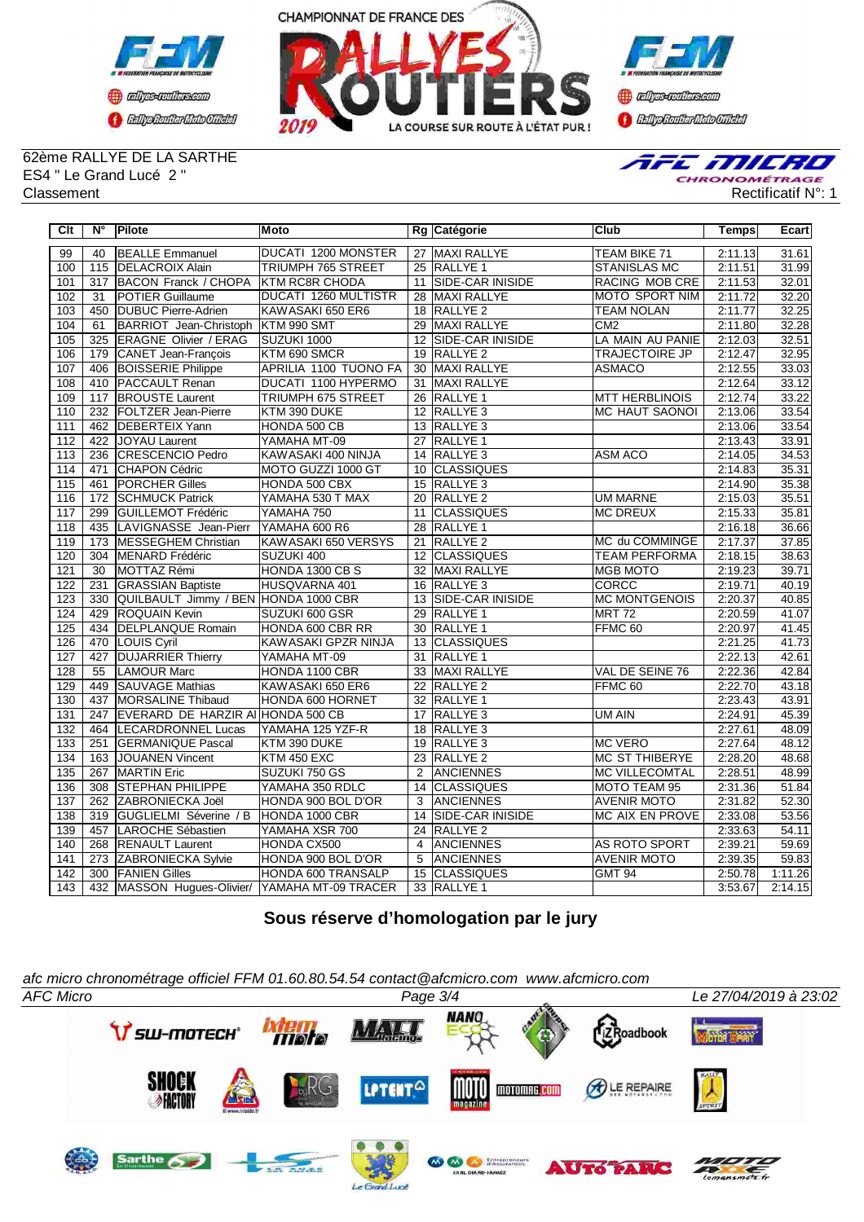



**Confederation CENTRAL MEDICATE** 

62ème RALLYE DE LA SARTHE ES4 " Le Grand Lucé 2 " Classement Rectificatif N°: 1



| Clt              | N°                | Pilote                                           | <b>Moto</b>                  |                 | Rg Catégorie            | lClub                 | <b>Temps</b> | Ecart   |
|------------------|-------------------|--------------------------------------------------|------------------------------|-----------------|-------------------------|-----------------------|--------------|---------|
| 99               | 40                | <b>BEALLE Emmanuel</b>                           | <b>DUCATI 1200 MONSTER</b>   |                 | 27 MAXI RALLYE          | <b>TEAM BIKE 71</b>   | 2:11.13      | 31.61   |
| 100              | $\frac{115}{115}$ | <b>DELACROIX Alain</b>                           | <b>TRIUMPH 765 STREET</b>    |                 | 25 RALLYE 1             | <b>STANISLAS MC</b>   | 2:11.51      | 31.99   |
| 101              | 317               | <b>BACON Franck / CHOPA</b>                      | <b>KTM RC8R CHODA</b>        | 11              | <b>SIDE-CAR INISIDE</b> | <b>RACING MOB CRE</b> | 2:11.53      | 32.01   |
| 102              | 31                | <b>POTIER Guillaume</b>                          | <b>DUCATI 1260 MULTISTR</b>  | 28              | MAXI RALLYE             | <b>MOTO SPORT NIM</b> | 2:11.72      | 32.20   |
| 103              | 450               | DUBUC Pierre-Adrien                              | KAWASAKI 650 ER6             |                 | 18 RALLYE 2             | <b>TEAM NOLAN</b>     | 2:11.77      | 32.25   |
| 104              | 61                | BARRIOT Jean-Christoph                           | KTM 990 SMT                  | 29              | MAXI RALLYE             | CM <sub>2</sub>       | 2:11.80      | 32.28   |
| 105              | 325               | <b>ERAGNE Olivier / ERAG</b>                     | SUZUKI 1000                  | 12              | SIDE-CAR INISIDE        | LA MAIN AU PANIE      | 2:12.03      | 32.51   |
| 106              | 179               | CANET Jean-François                              | KTM 690 SMCR                 |                 | 19 RALLYE 2             | <b>TRAJECTOIRE JP</b> | 2:12.47      | 32.95   |
| 107              | 406               | <b>BOISSERIE Philippe</b>                        | <b>APRILIA 1100 TUONO FA</b> | 30              | MAXI RALLYE             | <b>ASMACO</b>         | 2:12.55      | 33.03   |
| 108              | 410               | <b>PACCAULT Renan</b>                            | <b>DUCATI 1100 HYPERMO</b>   | $\overline{31}$ | MAXI RALLYE             |                       | 2:12.64      | 33.12   |
| 109              | 117               | <b>BROUSTE Laurent</b>                           | TRIUMPH 675 STREET           |                 | 26 RALLYE 1             | <b>MTT HERBLINOIS</b> | 2:12.74      | 33.22   |
| 110              | 232               | <b>FOLTZER Jean-Pierre</b>                       | KTM 390 DUKE                 | 12              | RALLYE <sub>3</sub>     | <b>MC HAUT SAONOI</b> | 2:13.06      | 33.54   |
| 111              | 462               | <b>DEBERTEIX Yann</b>                            | HONDA 500 CB                 |                 | 13 RALLYE 3             |                       | 2:13.06      | 33.54   |
| 112              | 422               | JOYAU Laurent                                    | YAMAHA MT-09                 | 27              | RALLYE <sub>1</sub>     |                       | 2:13.43      | 33.91   |
| 113              | 236               | CRESCENCIO Pedro                                 | KAWASAKI 400 NINJA           |                 | 14 RALLYE 3             | <b>ASM ACO</b>        | 2:14.05      | 34.53   |
| 114              | 471               | CHAPON Cédric                                    | MOTO GUZZI 1000 GT           | 10              | <b>CLASSIQUES</b>       |                       | 2:14.83      | 35.31   |
| 115              | 461               | <b>PORCHER Gilles</b>                            | HONDA 500 CBX                | $\overline{15}$ | RALLYE 3                |                       | 2:14.90      | 35.38   |
| 116              | 172               | <b>SCHMUCK Patrick</b>                           | YAMAHA 530 T MAX             |                 | 20 RALLYE 2             | <b>UM MARNE</b>       | 2:15.03      | 35.51   |
| 117              | 299               | <b>GUILLEMOT Frédéric</b>                        | YAMAHA 750                   | 11              | <b>CLASSIQUES</b>       | <b>MC DREUX</b>       | 2:15.33      | 35.81   |
| $\overline{118}$ | 435               | LAVIGNASSE Jean-Pierr                            | YAMAHA 600 R6                | 28              | RALLYE <sub>1</sub>     |                       | 2:16.18      | 36.66   |
| 119              | 173               | MESSEGHEM Christian                              | KAWASAKI 650 VERSYS          | 21              | RALLYE <sub>2</sub>     | MC du COMMINGE        | 2:17.37      | 37.85   |
| 120              | 304               | MENARD Frédéric                                  | SUZUKI 400                   | 12              | <b>CLASSIQUES</b>       | <b>TEAM PERFORMA</b>  | 2:18.15      | 38.63   |
| 121              | 30                | MOTTAZ Rémi                                      | HONDA 1300 CB S              |                 | 32 MAXI RALLYE          | <b>MGB MOTO</b>       | 2:19.23      | 39.71   |
| 122              | 231               | <b>GRASSIAN Baptiste</b>                         | HUSQVARNA 401                | 16              | RALLYE <sub>3</sub>     | <b>CORCC</b>          | 2:19.71      | 40.19   |
| 123              | 330               | QUILBAULT Jimmy / BEN HONDA 1000 CBR             |                              | 13              | SIDE-CAR INISIDE        | <b>MC MONTGENOIS</b>  | 2:20.37      | 40.85   |
| 124              | 429               | <b>ROQUAIN Kevin</b>                             | SUZUKI 600 GSR               | 29              | <b>RALLYE 1</b>         | <b>MRT 72</b>         | 2:20.59      | 41.07   |
| 125              | 434               | <b>DELPLANQUE Romain</b>                         | HONDA 600 CBR RR             | 30              | RALLYE <sub>1</sub>     | FFMC <sub>60</sub>    | 2:20.97      | 41.45   |
| 126              | 470               | LOUIS Cyril                                      | KAWASAKI GPZR NINJA          |                 | 13 CLASSIQUES           |                       | 2:21.25      | 41.73   |
| 127              | 427               | <b>DUJARRIER Thierry</b>                         | YAMAHA MT-09                 | 31              | <b>RALLYE 1</b>         |                       | 2:22.13      | 42.61   |
| 128              | 55                | <b>LAMOUR Marc</b>                               | HONDA 1100 CBR               |                 | 33 MAXI RALLYE          | VAL DE SEINE 76       | 2:22.36      | 42.84   |
| 129              | 449               | <b>SAUVAGE Mathias</b>                           | KAWASAKI 650 ER6             |                 | 22 RALLYE 2             | FFMC <sub>60</sub>    | 2:22.70      | 43.18   |
| 130              | 437               | MORSALINE Thibaud                                | HONDA 600 HORNET             |                 | 32 RALLYE 1             |                       | 2:23.43      | 43.91   |
| 131              | 247               | EVERARD DE HARZIR AI HONDA 500 CB                |                              |                 | 17 RALLYE 3             | UM AIN                | 2:24.91      | 45.39   |
| 132              | 464               | LECARDRONNEL Lucas                               | YAMAHA 125 YZF-R             | 18              | RALLYE <sub>3</sub>     |                       | 2:27.61      | 48.09   |
| 133              | 251               | <b>GERMANIQUE Pascal</b>                         | KTM 390 DUKE                 | 19              | RALLYE <sub>3</sub>     | <b>MC VERO</b>        | 2:27.64      | 48.12   |
| 134              | 163               | <b>JOUANEN Vincent</b>                           | KTM 450 EXC                  | 23              | RALLYE <sub>2</sub>     | <b>MC ST THIBERYE</b> | 2:28.20      | 48.68   |
| 135              | 267               | <b>MARTIN Eric</b>                               | SUZUKI 750 GS                | 2               | <b>ANCIENNES</b>        | <b>MC VILLECOMTAL</b> | 2:28.51      | 48.99   |
| 136              | 308               | <b>STEPHAN PHILIPPE</b>                          | YAMAHA 350 RDLC              |                 | 14 CLASSIQUES           | MOTO TEAM 95          | 2:31.36      | 51.84   |
| 137              | 262               | ZABRONIECKA Joël                                 | HONDA 900 BOL D'OR           | 3               | <b>ANCIENNES</b>        | <b>AVENIR MOTO</b>    | 2:31.82      | 52.30   |
| 138              | 319               | GUGLIELMI Séverine / B                           | HONDA 1000 CBR               | 14              | SIDE-CAR INISIDE        | MC AIX EN PROVE       | 2:33.08      | 53.56   |
| 139              | 457               | LAROCHE Sébastien                                | YAMAHA XSR 700               |                 | 24 RALLYE 2             |                       | 2:33.63      | 54.11   |
| 140              | 268               | <b>RENAULT Laurent</b>                           | HONDA CX500                  | 4               | <b>ANCIENNES</b>        | AS ROTO SPORT         | 2:39.21      | 59.69   |
| 141              | 273               | ZABRONIECKA Sylvie                               | HONDA 900 BOL D'OR           | 5               | <b>ANCIENNES</b>        | <b>AVENIR MOTO</b>    | 2:39.35      | 59.83   |
| $\overline{142}$ | 300               | <b>FANIEN Gilles</b>                             | <b>HONDA 600 TRANSALP</b>    | 15              | <b>CLASSIQUES</b>       | <b>GMT 94</b>         | 2:50.78      | 1:11.26 |
| 143              |                   | 432   MASSON Hugues-Olivier/ YAMAHA MT-09 TRACER |                              |                 | 33 RALLYE 1             |                       | 3:53.67      | 2:14.15 |

**Sous réserve d'homologation par le jury**